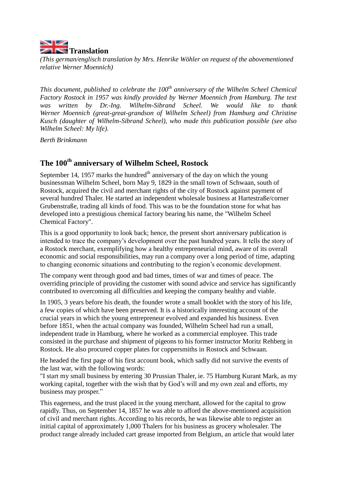

*(This german/englisch translation by Mrs. Henrike Wöhler on request of the abovementioned relative Werner Moennich)*

*This document, published to celebrate the 100th anniversary of the Wilhelm Scheel Chemical Factory Rostock in 1957 was kindly provided by Werner Moennich from Hamburg. The text was written by Dr.-Ing. Wilhelm-Sibrand Scheel. We would like to thank Werner Moennich (great-great-grandson of Wilhelm Scheel) from Hamburg and Christine Kusch (daughter of Wilhelm-Sibrand Scheel), who made this publication possible (see also Wilhelm Scheel: My life).* 

*Berth Brinkmann* 

## **The 100th anniversary of Wilhelm Scheel, Rostock**

September 14, 1957 marks the hundred<sup>th</sup> anniversary of the day on which the young businessman Wilhelm Scheel, born May 9, 1829 in the small town of Schwaan, south of Rostock, acquired the civil and merchant rights of the city of Rostock against payment of several hundred Thaler. He started an independent wholesale business at Hartestraße/corner Grubenstraße, trading all kinds of food. This was to be the foundation stone for what has developed into a prestigious chemical factory bearing his name, the "Wilhelm Scheel Chemical Factory".

This is a good opportunity to look back; hence, the present short anniversary publication is intended to trace the company's development over the past hundred years. It tells the story of a Rostock merchant, exemplifying how a healthy entrepreneurial mind, aware of its overall economic and social responsibilities, may run a company over a long period of time, adapting to changing economic situations and contributing to the region's economic development.

The company went through good and bad times, times of war and times of peace. The overriding principle of providing the customer with sound advice and service has significantly contributed to overcoming all difficulties and keeping the company healthy and viable.

In 1905, 3 years before his death, the founder wrote a small booklet with the story of his life, a few copies of which have been preserved. It is a historically interesting account of the crucial years in which the young entrepreneur evolved and expanded his business. Even before 1851, when the actual company was founded, Wilhelm Scheel had run a small, independent trade in Hamburg, where he worked as a commercial employee. This trade consisted in the purchase and shipment of pigeons to his former instructor Moritz Rehberg in Rostock*.* He also procured copper plates for coppersmiths in Rostock and Schwaan.

He headed the first page of his first account book, which sadly did not survive the events of the last war, with the following words:

"I start my small business by entering 30 Prussian Thaler, ie. 75 Hamburg Kurant Mark, as my working capital*,* together with the wish that by God's will and my own zeal and efforts, my business may prosper."

This eagerness, and the trust placed in the young merchant, allowed for the capital to grow rapidly. Thus, on September 14, 1857 he was able to afford the above-mentioned acquisition of civil and merchant rights. According to his records, he was likewise able to register an initial capital of approximately 1,000 Thalers for his business as grocery wholesaler. The product range already included cart grease imported from Belgium, an article that would later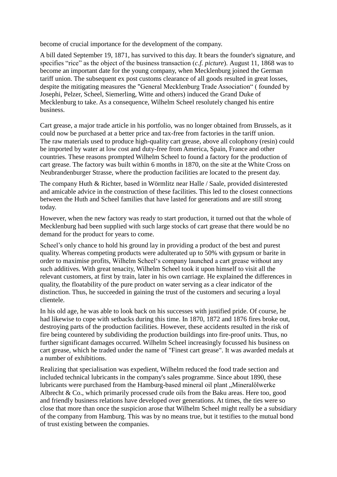become of crucial importance for the development of the company.

A bill dated September 19, 1871, has survived to this day. It bears the founder's signature, and specifies "rice" as the object of the business transaction (*c.f. picture*). August 11, 1868 was to become an important date for the young company, when Mecklenburg joined the German tariff union. The subsequent ex post customs clearance of all goods resulted in great losses, despite the mitigating measures the "General Mecklenburg Trade Association" ( founded by Josephi, Pelzer, Scheel, Siemerling, Witte and others) induced the Grand Duke of Mecklenburg to take. As a consequence, Wilhelm Scheel resolutely changed his entire business.

Cart grease, a major trade article in his portfolio, was no longer obtained from Brussels, as it could now be purchased at a better price and tax-free from factories in the tariff union. The raw materials used to produce high-quality cart grease, above all colophony (resin) could be imported by water at low cost and duty-free from America, Spain, France and other countries. These reasons prompted Wilhelm Scheel to found a factory for the production of cart grease. The factory was built within 6 months in 1870, on the site at the White Cross on Neubrandenburger Strasse, where the production facilities are located to the present day.

The company Huth & Richter, based in Wörmlitz near Halle / Saale, provided disinterested and amicable advice in the construction of these facilities. This led to the closest connections between the Huth and Scheel families that have lasted for generations and are still strong today.

However, when the new factory was ready to start production, it turned out that the whole of Mecklenburg had been supplied with such large stocks of cart grease that there would be no demand for the product for years to come.

Scheel's only chance to hold his ground lay in providing a product of the best and purest quality. Whereas competing products were adulterated up to 50% with gypsum or barite in order to maximise profits, Wilhelm Scheel's company launched a cart grease without any such additives. With great tenacity, Wilhelm Scheel took it upon himself to visit all the relevant customers, at first by train, later in his own carriage. He explained the differences in quality, the floatability of the pure product on water serving as a clear indicator of the distinction. Thus, he succeeded in gaining the trust of the customers and securing a loyal clientele.

In his old age, he was able to look back on his successes with justified pride. Of course, he had likewise to cope with setbacks during this time. In 1870, 1872 and 1876 fires broke out, destroying parts of the production facilities. However, these accidents resulted in the risk of fire being countered by subdividing the production buildings into fire-proof units. Thus, no further significant damages occurred. Wilhelm Scheel increasingly focussed his business on cart grease, which he traded under the name of "Finest cart grease". It was awarded medals at a number of exhibitions.

Realizing that specialisation was expedient, Wilhelm reduced the food trade section and included technical lubricants in the company's sales programme. Since about 1890, these lubricants were purchased from the Hamburg-based mineral oil plant "Mineralölwerke Albrecht & Co., which primarily processed crude oils from the Baku areas. Here too, good and friendly business relations have developed over generations. At times, the ties were so close that more than once the suspicion arose that Wilhelm Scheel might really be a subsidiary of the company from Hamburg. This was by no means true, but it testifies to the mutual bond of trust existing between the companies.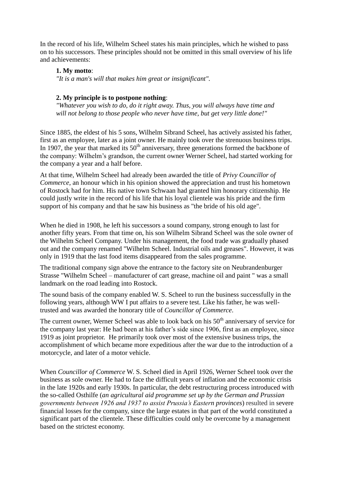In the record of his life, Wilhelm Scheel states his main principles, which he wished to pass on to his successors. These principles should not be omitted in this small overview of his life and achievements:

### **1. My motto**:

*"It is a man's will that makes him great or insignificant".*

#### **2. My principle is to postpone nothing**:

*"Whatever you wish to do, do it right away. Thus, you will always have time and will not belong to those people who never have time, but get very little done!"*

Since 1885, the eldest of his 5 sons, Wilhelm Sibrand Scheel, has actively assisted his father, first as an employee, later as a joint owner. He mainly took over the strenuous business trips. In 1907, the year that marked its  $50<sup>th</sup>$  anniversary, three generations formed the backbone of the company: Wilhelm's grandson, the current owner Werner Scheel, had started working for the company a year and a half before.

At that time, Wilhelm Scheel had already been awarded the title of *Privy Councillor of Commerce*, an honour which in his opinion showed the appreciation and trust his hometown of Rostock had for him. His native town Schwaan had granted him honorary citizenship. He could justly write in the record of his life that his loyal clientele was his pride and the firm support of his company and that he saw his business as "the bride of his old age".

When he died in 1908, he left his successors a sound company, strong enough to last for another fifty years. From that time on, his son Wilhelm Sibrand Scheel was the sole owner of the Wilhelm Scheel Company. Under his management, the food trade was gradually phased out and the company renamed "Wilhelm Scheel. Industrial oils and greases". However, it was only in 1919 that the last food items disappeared from the sales programme.

The traditional company sign above the entrance to the factory site on Neubrandenburger Strasse "Wilhelm Scheel – manufacturer of cart grease, machine oil and paint " was a small landmark on the road leading into Rostock.

The sound basis of the company enabled W. S. Scheel to run the business successfully in the following years, although WW I put affairs to a severe test. Like his father, he was welltrusted and was awarded the honorary title of *Councillor of Commerce*.

The current owner, Werner Scheel was able to look back on his  $50<sup>th</sup>$  anniversary of service for the company last year: He had been at his father's side since 1906, first as an employee, since 1919 as joint proprietor. He primarily took over most of the extensive business trips, the accomplishment of which became more expeditious after the war due to the introduction of a motorcycle, and later of a motor vehicle.

When *Councillor of Commerce* W. S. Scheel died in April 1926, Werner Scheel took over the business as sole owner. He had to face the difficult years of inflation and the economic crisis in the late 1920s and early 1930s. In particular, the debt restructuring process introduced with the so-called Osthilfe (*an agricultural aid programme set up by the German and Prussian governments between 1926 and 1937 to assist Prussia's Eastern provinces*) resulted in severe financial losses for the company, since the large estates in that part of the world constituted a significant part of the clientele. These difficulties could only be overcome by a management based on the strictest economy.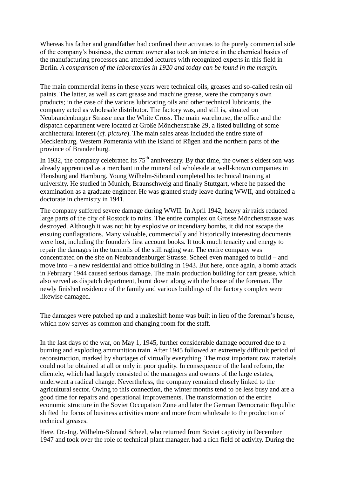Whereas his father and grandfather had confined their activities to the purely commercial side of the company's business, the current owner also took an interest in the chemical basics of the manufacturing processes and attended lectures with recognized experts in this field in Berlin. *A comparison of the laboratories in 1920 and today can be found in the margin.*

The main commercial items in these years were technical oils, greases and so-called resin oil paints. The latter, as well as cart grease and machine grease, were the company's own products; in the case of the various lubricating oils and other technical lubricants, the company acted as wholesale distributor. The factory was, and still is, situated on Neubrandenburger Strasse near the White Cross. The main warehouse, the office and the dispatch department were located at Große Mönchenstraße 29, a listed building of some architectural interest (*cf. picture*). The main sales areas included the entire state of Mecklenburg, Western Pomerania with the island of Rügen and the northern parts of the province of Brandenburg.

In 1932, the company celebrated its  $75<sup>th</sup>$  anniversary. By that time, the owner's eldest son was already apprenticed as a merchant in the mineral oil wholesale at well-known companies in Flensburg and Hamburg. Young Wilhelm-Sibrand completed his technical training at university. He studied in Munich, Braunschweig and finally Stuttgart, where he passed the examination as a graduate engineer. He was granted study leave during WWII, and obtained a doctorate in chemistry in 1941.

The company suffered severe damage during WWII. In April 1942, heavy air raids reduced large parts of the city of Rostock to ruins. The entire complex on Grosse Mönchenstrasse was destroyed. Although it was not hit by explosive or incendiary bombs, it did not escape the ensuing conflagrations. Many valuable, commercially and historically interesting documents were lost, including the founder's first account books. It took much tenacity and energy to repair the damages in the turmoils of the still raging war. The entire company was concentrated on the site on Neubrandenburger Strasse. Scheel even managed to build – and move into – a new residential and office building in 1943. But here, once again, a bomb attack in February 1944 caused serious damage. The main production building for cart grease, which also served as dispatch department, burnt down along with the house of the foreman. The newly finished residence of the family and various buildings of the factory complex were likewise damaged.

The damages were patched up and a makeshift home was built in lieu of the foreman's house, which now serves as common and changing room for the staff.

In the last days of the war, on May 1, 1945, further considerable damage occurred due to a burning and exploding ammunition train. After 1945 followed an extremely difficult period of reconstruction, marked by shortages of virtually everything. The most important raw materials could not be obtained at all or only in poor quality. In consequence of the land reform, the clientele, which had largely consisted of the managers and owners of the large estates, underwent a radical change. Nevertheless, the company remained closely linked to the agricultural sector. Owing to this connection, the winter months tend to be less busy and are a good time for repairs and operational improvements. The transformation of the entire economic structure in the Soviet Occupation Zone and later the German Democratic Republic shifted the focus of business activities more and more from wholesale to the production of technical greases.

Here, Dr.-Ing. Wilhelm-Sibrand Scheel, who returned from Soviet captivity in December 1947 and took over the role of technical plant manager, had a rich field of activity. During the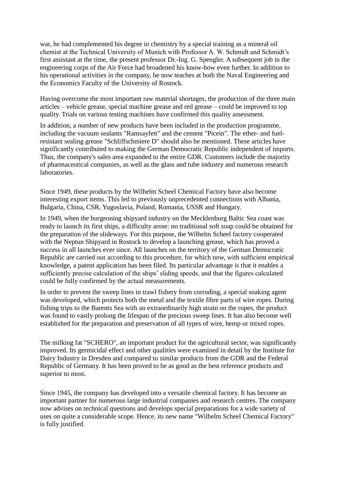war, he had complemented his degree in chemistry by a special training as a mineral oil chemist at the Technical University of Munich with Professor A. W. Schmidt and Schmidt's first assistant at the time, the present professor Dr.-Ing. G. Spengler. A subsequent job in the engineering corps of the Air Force had broadened his know-how even further. In addition to his operational activities in the company, he now teaches at both the Naval Engineering and the Economics Faculty of the University of Rostock.

Having overcome the most important raw material shortages, the production of the three main articles – vehicle grease, special machine grease and red grease – could be improved to top quality. Trials on various testing machines have confirmed this quality assessment.

In addition, a number of new products have been included in the production programme, including the vacuum sealants "Ramsayfett" and the cement "Picein". The ether- and fuelresistant sealing grease "Schliffschmiere D" should also be mentioned. These articles have significantly contributed to making the German Democratic Republic independent of imports. Thus, the company's sales area expanded to the entire GDR. Customers include the majority of pharmaceutical companies, as well as the glass and tube industry and numerous research laboratories.

Since 1949, these products by the Wilhelm Scheel Chemical Factory have also become interesting export items. This led to previously unprecedented connections with Albania, Bulgaria, China, CSR, Yugoslavia, Poland, Romania, USSR and Hungary.

In 1949, when the burgeoning shipyard industry on the Mecklenburg Baltic Sea coast was ready to launch its first ships, a difficulty arose: no traditional soft soap could be obtained for the preparation of the slideways. For this purpose, the Wilhelm Scheel factory cooperated with the Neptun Shipyard in Rostock to develop a launching grease, which has proved a success in all launches ever since. All launches on the territory of the German Democratic Republic are carried out according to this procedure, for which now, with sufficient empirical knowledge, a patent application has been filed. Its particular advantage is that it enables a sufficiently precise calculation of the ships' sliding speeds, and that the figures calculated could be fully confirmed by the actual measurements.

In order to prevent the sweep lines in trawl fishery from corroding, a special soaking agent was developed, which protects both the metal and the textile fibre parts of wire ropes. During fishing trips to the Barents Sea with an extraordinarily high strain on the ropes, the product was found to vastly prolong the lifespan of the precious sweep lines. It has also become well established for the preparation and preservation of all types of wire, hemp or mixed ropes.

The milking fat "SCHERO", an important product for the agricultural sector, was significantly improved. Its germicidal effect and other qualities were examined in detail by the Institute for Dairy Industry in Dresden and compared to similar products from the GDR and the Federal Republic of Germany. It has been proved to be as good as the best reference products and superior to most.

Since 1945, the company has developed into a versatile chemical factory. It has become an important partner for numerous large industrial companies and research centres. The company now advises on technical questions and develops special preparations for a wide variety of uses on quite a considerable scope. Hence, its new name "Wilhelm Scheel Chemical Factory" is fully justified.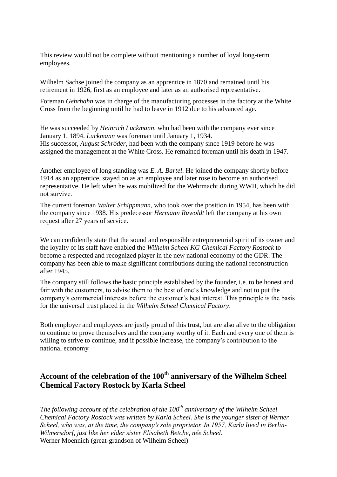This review would not be complete without mentioning a number of loyal long-term employees.

Wilhelm Sachse joined the company as an apprentice in 1870 and remained until his retirement in 1926, first as an employee and later as an authorised representative.

Foreman *Gehrhahn* was in charge of the manufacturing processes in the factory at the White Cross from the beginning until he had to leave in 1912 due to his advanced age.

He was succeeded by *Heinrich Luckmann*, who had been with the company ever since January 1, 1894. *Luckmann* was foreman until January 1, 1934. His successor, *August Schröder*, had been with the company since 1919 before he was assigned the management at the White Cross. He remained foreman until his death in 1947.

Another employee of long standing was *E. A. Bartel*. He joined the company shortly before 1914 as an apprentice, stayed on as an employee and later rose to become an authorised representative. He left when he was mobilized for the Wehrmacht during WWII, which he did not survive.

The current foreman *Walter Schippmann*, who took over the position in 1954, has been with the company since 1938. His predecessor *Hermann Ruwoldt* left the company at his own request after 27 years of service.

We can confidently state that the sound and responsible entrepreneurial spirit of its owner and the loyalty of its staff have enabled the *Wilhelm Scheel KG Chemical Factory Rostock* to become a respected and recognized player in the new national economy of the GDR. The company has been able to make significant contributions during the national reconstruction after 1945.

The company still follows the basic principle established by the founder, i.e. to be honest and fair with the customers, to advise them to the best of one's knowledge and not to put the company's commercial interests before the customer's best interest. This principle is the basis for the universal trust placed in the *Wilhelm Scheel Chemical Factory*.

Both employer and employees are justly proud of this trust, but are also alive to the obligation to continue to prove themselves and the company worthy of it. Each and every one of them is willing to strive to continue, and if possible increase, the company's contribution to the national economy

# **Account of the celebration of the 100th anniversary of the Wilhelm Scheel Chemical Factory Rostock by Karla Scheel**

*The following account of the celebration of the 100th anniversary of the Wilhelm Scheel Chemical Factory Rostock was written by Karla Scheel. She is the younger sister of Werner Scheel, who was, at the time, the company's sole proprietor. In 1957, Karla lived in Berlin-Wilmersdorf, just like her elder sister Elisabeth Betche, née Scheel.* Werner Moennich (great-grandson of Wilhelm Scheel)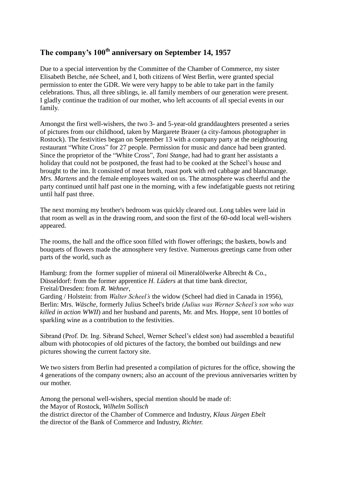## **The company's 100th anniversary on September 14, 1957**

Due to a special intervention by the Committee of the Chamber of Commerce, my sister Elisabeth Betche, née Scheel, and I, both citizens of West Berlin, were granted special permission to enter the GDR. We were very happy to be able to take part in the family celebrations. Thus, all three siblings, ie. all family members of our generation were present. I gladly continue the tradition of our mother, who left accounts of all special events in our family.

Amongst the first well-wishers, the two 3- and 5-year-old granddaughters presented a series of pictures from our childhood, taken by Margarete Brauer (a city-famous photographer in Rostock). The festivities began on September 13 with a company party at the neighbouring restaurant "White Cross" for 27 people. Permission for music and dance had been granted. Since the proprietor of the "White Cross", *Toni Stange*, had had to grant her assistants a holiday that could not be postponed, the feast had to be cooked at the Scheel's house and brought to the inn. It consisted of meat broth, roast pork with red cabbage and blancmange. *Mrs. Martens* and the female employees waited on us. The atmosphere was cheerful and the party continued until half past one in the morning, with a few indefatigable guests not retiring until half past three.

The next morning my brother's bedroom was quickly cleared out. Long tables were laid in that room as well as in the drawing room, and soon the first of the 60-odd local well-wishers appeared.

The rooms, the hall and the office soon filled with flower offerings; the baskets, bowls and bouquets of flowers made the atmosphere very festive. Numerous greetings came from other parts of the world, such as

Hamburg: from the former supplier of mineral oil Mineralölwerke Albrecht & Co., Düsseldorf: from the former apprentice *H. Lüders* at that time bank director, Freital/Dresden: from *R. Wehner*,

Garding / Holstein: from *Walter Scheel's* the widow (Scheel had died in Canada in 1956), Berlin: Mrs. *Wäsche,* formerly Julius Scheel's bride *(Julius was Werner Scheel's son who was killed in action WWII*) and her husband and parents, Mr. and Mrs. Hoppe, sent 10 bottles of sparkling wine as a contribution to the festivities.

Sibrand (Prof. Dr. Ing. Sibrand Scheel, Werner Scheel's eldest son) had assembled a beautiful album with photocopies of old pictures of the factory, the bombed out buildings and new pictures showing the current factory site.

We two sisters from Berlin had presented a compilation of pictures for the office, showing the 4 generations of the company owners; also an account of the previous anniversaries written by our mother.

Among the personal well-wishers, special mention should be made of: the Mayor of Rostock, *Wilhelm Sollisch* the district director of the Chamber of Commerce and Industry, *Klaus Jürgen Ebelt* the director of the Bank of Commerce and Industry, *Richter.*